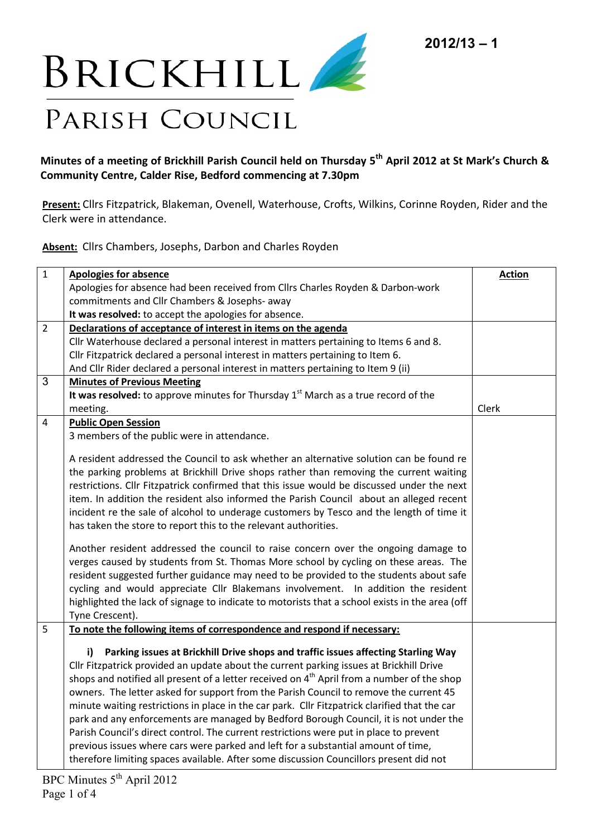

## **Minutes of a meeting of Brickhill Parish Council held on Thursday 5 th April 2012 at St Mark's Church & Community Centre, Calder Rise, Bedford commencing at 7.30pm**

**Present:** Cllrs Fitzpatrick, Blakeman, Ovenell, Waterhouse, Crofts, Wilkins, Corinne Royden, Rider and the Clerk were in attendance.

**Absent:** Cllrs Chambers, Josephs, Darbon and Charles Royden

| $\mathbf{1}$   | <b>Apologies for absence</b>                                                                                                                                                                                                                                                                                                                                                                                                                                                                                                                                                                                                                                                                                                                                                                                                                             | <b>Action</b> |
|----------------|----------------------------------------------------------------------------------------------------------------------------------------------------------------------------------------------------------------------------------------------------------------------------------------------------------------------------------------------------------------------------------------------------------------------------------------------------------------------------------------------------------------------------------------------------------------------------------------------------------------------------------------------------------------------------------------------------------------------------------------------------------------------------------------------------------------------------------------------------------|---------------|
|                | Apologies for absence had been received from Cllrs Charles Royden & Darbon-work                                                                                                                                                                                                                                                                                                                                                                                                                                                                                                                                                                                                                                                                                                                                                                          |               |
|                | commitments and Cllr Chambers & Josephs- away                                                                                                                                                                                                                                                                                                                                                                                                                                                                                                                                                                                                                                                                                                                                                                                                            |               |
|                | It was resolved: to accept the apologies for absence.                                                                                                                                                                                                                                                                                                                                                                                                                                                                                                                                                                                                                                                                                                                                                                                                    |               |
| $\overline{2}$ | Declarations of acceptance of interest in items on the agenda                                                                                                                                                                                                                                                                                                                                                                                                                                                                                                                                                                                                                                                                                                                                                                                            |               |
|                | Cllr Waterhouse declared a personal interest in matters pertaining to Items 6 and 8.                                                                                                                                                                                                                                                                                                                                                                                                                                                                                                                                                                                                                                                                                                                                                                     |               |
|                | Cllr Fitzpatrick declared a personal interest in matters pertaining to Item 6.                                                                                                                                                                                                                                                                                                                                                                                                                                                                                                                                                                                                                                                                                                                                                                           |               |
|                | And Cllr Rider declared a personal interest in matters pertaining to Item 9 (ii)                                                                                                                                                                                                                                                                                                                                                                                                                                                                                                                                                                                                                                                                                                                                                                         |               |
| 3              | <b>Minutes of Previous Meeting</b>                                                                                                                                                                                                                                                                                                                                                                                                                                                                                                                                                                                                                                                                                                                                                                                                                       |               |
|                | It was resolved: to approve minutes for Thursday $1st$ March as a true record of the                                                                                                                                                                                                                                                                                                                                                                                                                                                                                                                                                                                                                                                                                                                                                                     |               |
|                | meeting.                                                                                                                                                                                                                                                                                                                                                                                                                                                                                                                                                                                                                                                                                                                                                                                                                                                 | Clerk         |
| 4              | <b>Public Open Session</b>                                                                                                                                                                                                                                                                                                                                                                                                                                                                                                                                                                                                                                                                                                                                                                                                                               |               |
|                | 3 members of the public were in attendance.                                                                                                                                                                                                                                                                                                                                                                                                                                                                                                                                                                                                                                                                                                                                                                                                              |               |
|                | A resident addressed the Council to ask whether an alternative solution can be found re<br>the parking problems at Brickhill Drive shops rather than removing the current waiting<br>restrictions. Cllr Fitzpatrick confirmed that this issue would be discussed under the next<br>item. In addition the resident also informed the Parish Council about an alleged recent<br>incident re the sale of alcohol to underage customers by Tesco and the length of time it<br>has taken the store to report this to the relevant authorities.                                                                                                                                                                                                                                                                                                                |               |
|                | Another resident addressed the council to raise concern over the ongoing damage to<br>verges caused by students from St. Thomas More school by cycling on these areas. The<br>resident suggested further guidance may need to be provided to the students about safe<br>cycling and would appreciate Cllr Blakemans involvement. In addition the resident<br>highlighted the lack of signage to indicate to motorists that a school exists in the area (off<br>Tyne Crescent).                                                                                                                                                                                                                                                                                                                                                                           |               |
| 5              | To note the following items of correspondence and respond if necessary:                                                                                                                                                                                                                                                                                                                                                                                                                                                                                                                                                                                                                                                                                                                                                                                  |               |
|                | Parking issues at Brickhill Drive shops and traffic issues affecting Starling Way<br>i)<br>Cllr Fitzpatrick provided an update about the current parking issues at Brickhill Drive<br>shops and notified all present of a letter received on 4 <sup>th</sup> April from a number of the shop<br>owners. The letter asked for support from the Parish Council to remove the current 45<br>minute waiting restrictions in place in the car park. Cllr Fitzpatrick clarified that the car<br>park and any enforcements are managed by Bedford Borough Council, it is not under the<br>Parish Council's direct control. The current restrictions were put in place to prevent<br>previous issues where cars were parked and left for a substantial amount of time,<br>therefore limiting spaces available. After some discussion Councillors present did not |               |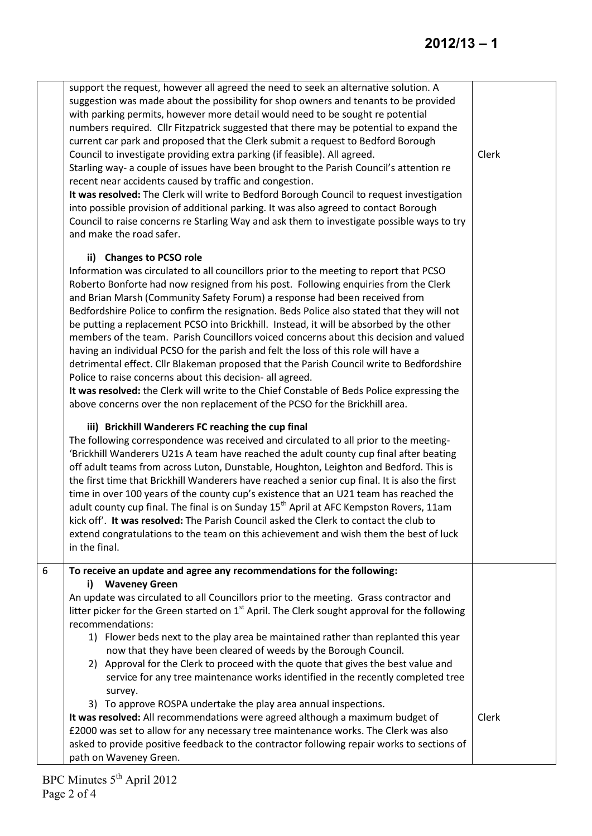|   | support the request, however all agreed the need to seek an alternative solution. A<br>suggestion was made about the possibility for shop owners and tenants to be provided<br>with parking permits, however more detail would need to be sought re potential<br>numbers required. Cllr Fitzpatrick suggested that there may be potential to expand the<br>current car park and proposed that the Clerk submit a request to Bedford Borough<br>Council to investigate providing extra parking (if feasible). All agreed.<br>Starling way- a couple of issues have been brought to the Parish Council's attention re<br>recent near accidents caused by traffic and congestion.<br>It was resolved: The Clerk will write to Bedford Borough Council to request investigation<br>into possible provision of additional parking. It was also agreed to contact Borough<br>Council to raise concerns re Starling Way and ask them to investigate possible ways to try<br>and make the road safer.                                                                                                                                                                                                                                                                                                                                                                                                                                                                                                                                                                                                                                                                                                                                                                                                                                                | Clerk |
|---|----------------------------------------------------------------------------------------------------------------------------------------------------------------------------------------------------------------------------------------------------------------------------------------------------------------------------------------------------------------------------------------------------------------------------------------------------------------------------------------------------------------------------------------------------------------------------------------------------------------------------------------------------------------------------------------------------------------------------------------------------------------------------------------------------------------------------------------------------------------------------------------------------------------------------------------------------------------------------------------------------------------------------------------------------------------------------------------------------------------------------------------------------------------------------------------------------------------------------------------------------------------------------------------------------------------------------------------------------------------------------------------------------------------------------------------------------------------------------------------------------------------------------------------------------------------------------------------------------------------------------------------------------------------------------------------------------------------------------------------------------------------------------------------------------------------------------------------------|-------|
|   | ii) Changes to PCSO role<br>Information was circulated to all councillors prior to the meeting to report that PCSO<br>Roberto Bonforte had now resigned from his post. Following enquiries from the Clerk<br>and Brian Marsh (Community Safety Forum) a response had been received from<br>Bedfordshire Police to confirm the resignation. Beds Police also stated that they will not<br>be putting a replacement PCSO into Brickhill. Instead, it will be absorbed by the other<br>members of the team. Parish Councillors voiced concerns about this decision and valued<br>having an individual PCSO for the parish and felt the loss of this role will have a<br>detrimental effect. Cllr Blakeman proposed that the Parish Council write to Bedfordshire<br>Police to raise concerns about this decision- all agreed.<br>It was resolved: the Clerk will write to the Chief Constable of Beds Police expressing the<br>above concerns over the non replacement of the PCSO for the Brickhill area.<br>iii) Brickhill Wanderers FC reaching the cup final<br>The following correspondence was received and circulated to all prior to the meeting-<br>'Brickhill Wanderers U21s A team have reached the adult county cup final after beating<br>off adult teams from across Luton, Dunstable, Houghton, Leighton and Bedford. This is<br>the first time that Brickhill Wanderers have reached a senior cup final. It is also the first<br>time in over 100 years of the county cup's existence that an U21 team has reached the<br>adult county cup final. The final is on Sunday 15 <sup>th</sup> April at AFC Kempston Rovers, 11am<br>kick off'. It was resolved: The Parish Council asked the Clerk to contact the club to<br>extend congratulations to the team on this achievement and wish them the best of luck<br>in the final. |       |
| 6 | To receive an update and agree any recommendations for the following:<br><b>Waveney Green</b><br>i)<br>An update was circulated to all Councillors prior to the meeting. Grass contractor and<br>litter picker for the Green started on $1st$ April. The Clerk sought approval for the following<br>recommendations:<br>1) Flower beds next to the play area be maintained rather than replanted this year<br>now that they have been cleared of weeds by the Borough Council.<br>2) Approval for the Clerk to proceed with the quote that gives the best value and<br>service for any tree maintenance works identified in the recently completed tree<br>survey.<br>3) To approve ROSPA undertake the play area annual inspections.<br>It was resolved: All recommendations were agreed although a maximum budget of<br>£2000 was set to allow for any necessary tree maintenance works. The Clerk was also<br>asked to provide positive feedback to the contractor following repair works to sections of<br>path on Waveney Green.                                                                                                                                                                                                                                                                                                                                                                                                                                                                                                                                                                                                                                                                                                                                                                                                        | Clerk |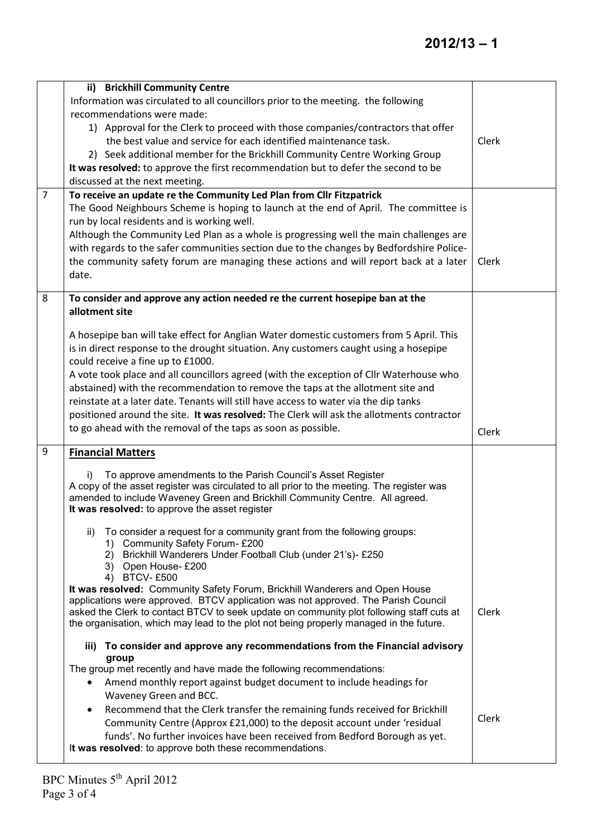|                | ii) Brickhill Community Centre<br>Information was circulated to all councillors prior to the meeting. the following<br>recommendations were made:<br>1) Approval for the Clerk to proceed with those companies/contractors that offer<br>the best value and service for each identified maintenance task.<br>2) Seek additional member for the Brickhill Community Centre Working Group<br>It was resolved: to approve the first recommendation but to defer the second to be<br>discussed at the next meeting.                                                                                                                                                                                                                                                                                                                                                                                                                                                                                                                                                                                                                                                                                                                                                                                                                                                                 | Clerk          |
|----------------|---------------------------------------------------------------------------------------------------------------------------------------------------------------------------------------------------------------------------------------------------------------------------------------------------------------------------------------------------------------------------------------------------------------------------------------------------------------------------------------------------------------------------------------------------------------------------------------------------------------------------------------------------------------------------------------------------------------------------------------------------------------------------------------------------------------------------------------------------------------------------------------------------------------------------------------------------------------------------------------------------------------------------------------------------------------------------------------------------------------------------------------------------------------------------------------------------------------------------------------------------------------------------------------------------------------------------------------------------------------------------------|----------------|
| $\overline{7}$ | To receive an update re the Community Led Plan from Cllr Fitzpatrick<br>The Good Neighbours Scheme is hoping to launch at the end of April. The committee is<br>run by local residents and is working well.<br>Although the Community Led Plan as a whole is progressing well the main challenges are<br>with regards to the safer communities section due to the changes by Bedfordshire Police-<br>the community safety forum are managing these actions and will report back at a later<br>date.                                                                                                                                                                                                                                                                                                                                                                                                                                                                                                                                                                                                                                                                                                                                                                                                                                                                             | Clerk          |
| 8              | To consider and approve any action needed re the current hosepipe ban at the<br>allotment site<br>A hosepipe ban will take effect for Anglian Water domestic customers from 5 April. This<br>is in direct response to the drought situation. Any customers caught using a hosepipe<br>could receive a fine up to £1000.<br>A vote took place and all councillors agreed (with the exception of Cllr Waterhouse who<br>abstained) with the recommendation to remove the taps at the allotment site and<br>reinstate at a later date. Tenants will still have access to water via the dip tanks<br>positioned around the site. It was resolved: The Clerk will ask the allotments contractor<br>to go ahead with the removal of the taps as soon as possible.                                                                                                                                                                                                                                                                                                                                                                                                                                                                                                                                                                                                                     | Clerk          |
| 9              | <b>Financial Matters</b><br>To approve amendments to the Parish Council's Asset Register<br>i).<br>A copy of the asset register was circulated to all prior to the meeting. The register was<br>amended to include Waveney Green and Brickhill Community Centre. All agreed.<br>It was resolved: to approve the asset register<br>To consider a request for a community grant from the following groups:<br>ii)<br>1) Community Safety Forum-£200<br>Brickhill Wanderers Under Football Club (under 21's)- £250<br>2)<br>3) Open House-£200<br><b>BTCV-£500</b><br>4)<br>It was resolved: Community Safety Forum, Brickhill Wanderers and Open House<br>applications were approved. BTCV application was not approved. The Parish Council<br>asked the Clerk to contact BTCV to seek update on community plot following staff cuts at<br>the organisation, which may lead to the plot not being properly managed in the future.<br>iii) To consider and approve any recommendations from the Financial advisory<br>group<br>The group met recently and have made the following recommendations:<br>Amend monthly report against budget document to include headings for<br>٠<br>Waveney Green and BCC.<br>Recommend that the Clerk transfer the remaining funds received for Brickhill<br>$\bullet$<br>Community Centre (Approx £21,000) to the deposit account under 'residual | Clerk<br>Clerk |
|                | funds'. No further invoices have been received from Bedford Borough as yet.<br>It was resolved: to approve both these recommendations.                                                                                                                                                                                                                                                                                                                                                                                                                                                                                                                                                                                                                                                                                                                                                                                                                                                                                                                                                                                                                                                                                                                                                                                                                                          |                |